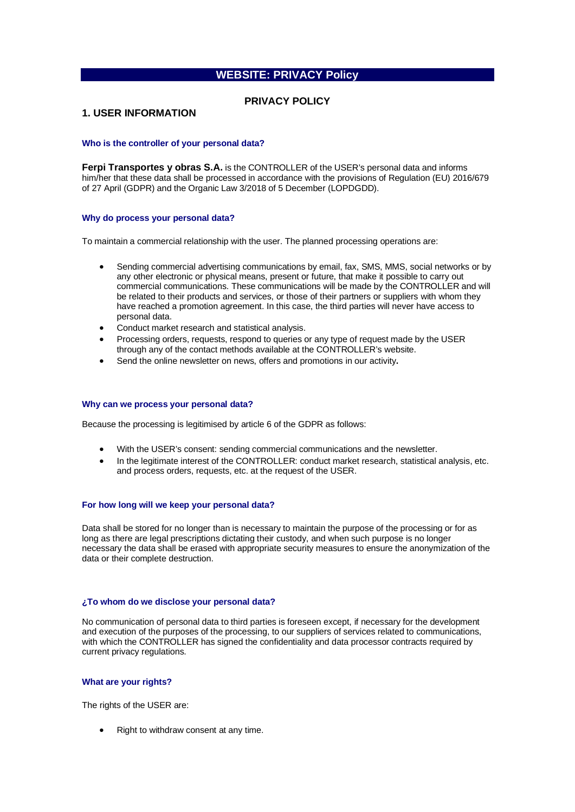# **WEBSITE: PRIVACY Policy**

## **PRIVACY POLICY**

### **1. USER INFORMATION**

#### **Who is the controller of your personal data?**

**Ferpi Transportes y obras S.A.** is the CONTROLLER of the USER's personal data and informs him/her that these data shall be processed in accordance with the provisions of Regulation (EU) 2016/679 of 27 April (GDPR) and the Organic Law 3/2018 of 5 December (LOPDGDD).

#### **Why do process your personal data?**

To maintain a commercial relationship with the user. The planned processing operations are:

- Sending commercial advertising communications by email, fax, SMS, MMS, social networks or by any other electronic or physical means, present or future, that make it possible to carry out commercial communications. These communications will be made by the CONTROLLER and will be related to their products and services, or those of their partners or suppliers with whom they have reached a promotion agreement. In this case, the third parties will never have access to personal data.
- Conduct market research and statistical analysis.
- Processing orders, requests, respond to queries or any type of request made by the USER through any of the contact methods available at the CONTROLLER's website.
- Send the online newsletter on news, offers and promotions in our activity**.**

#### **Why can we process your personal data?**

Because the processing is legitimised by article 6 of the GDPR as follows:

- With the USER's consent: sending commercial communications and the newsletter.
- In the legitimate interest of the CONTROLLER: conduct market research, statistical analysis, etc. and process orders, requests, etc. at the request of the USER.

#### **For how long will we keep your personal data?**

Data shall be stored for no longer than is necessary to maintain the purpose of the processing or for as long as there are legal prescriptions dictating their custody, and when such purpose is no longer necessary the data shall be erased with appropriate security measures to ensure the anonymization of the data or their complete destruction.

#### **¿To whom do we disclose your personal data?**

No communication of personal data to third parties is foreseen except, if necessary for the development and execution of the purposes of the processing, to our suppliers of services related to communications, with which the CONTROLLER has signed the confidentiality and data processor contracts required by current privacy regulations.

#### **What are your rights?**

The rights of the USER are:

Right to withdraw consent at any time.